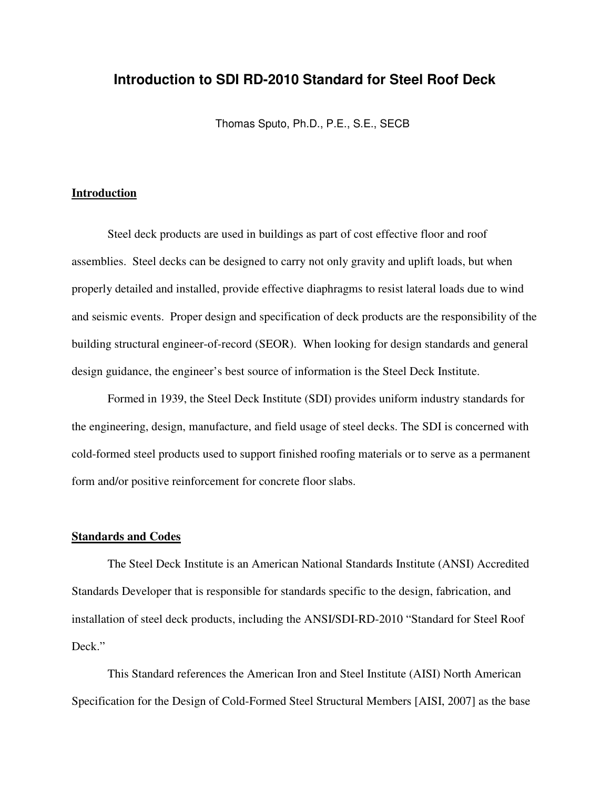#### **Introduction to SDI RD-2010 Standard for Steel Roof Deck**

Thomas Sputo, Ph.D., P.E., S.E., SECB

#### **Introduction**

Steel deck products are used in buildings as part of cost effective floor and roof assemblies. Steel decks can be designed to carry not only gravity and uplift loads, but when properly detailed and installed, provide effective diaphragms to resist lateral loads due to wind and seismic events. Proper design and specification of deck products are the responsibility of the building structural engineer-of-record (SEOR). When looking for design standards and general design guidance, the engineer's best source of information is the Steel Deck Institute.

Formed in 1939, the Steel Deck Institute (SDI) provides uniform industry standards for the engineering, design, manufacture, and field usage of steel decks. The SDI is concerned with cold-formed steel products used to support finished roofing materials or to serve as a permanent form and/or positive reinforcement for concrete floor slabs.

#### **Standards and Codes**

The Steel Deck Institute is an American National Standards Institute (ANSI) Accredited Standards Developer that is responsible for standards specific to the design, fabrication, and installation of steel deck products, including the ANSI/SDI-RD-2010 "Standard for Steel Roof Deck."

This Standard references the American Iron and Steel Institute (AISI) North American Specification for the Design of Cold-Formed Steel Structural Members [AISI, 2007] as the base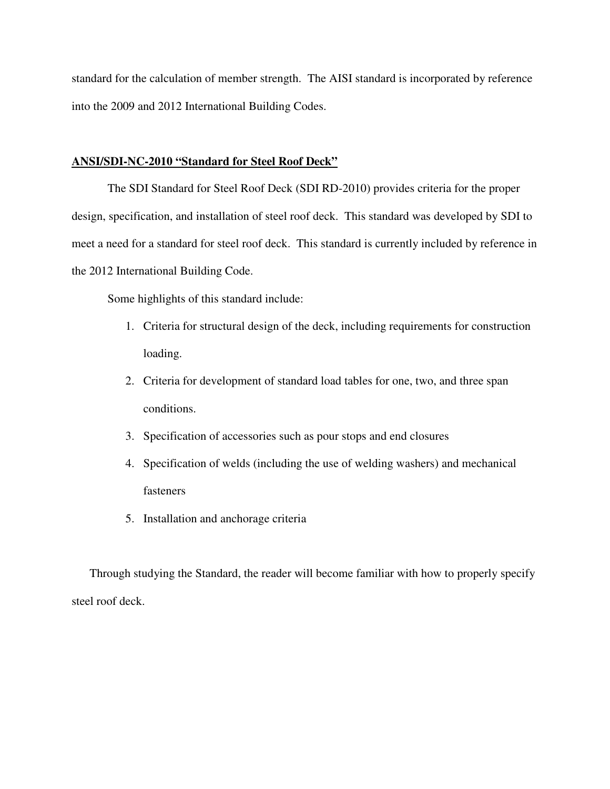standard for the calculation of member strength. The AISI standard is incorporated by reference into the 2009 and 2012 International Building Codes.

#### **ANSI/SDI-NC-2010 "Standard for Steel Roof Deck"**

The SDI Standard for Steel Roof Deck (SDI RD-2010) provides criteria for the proper design, specification, and installation of steel roof deck. This standard was developed by SDI to meet a need for a standard for steel roof deck. This standard is currently included by reference in the 2012 International Building Code.

Some highlights of this standard include:

- 1. Criteria for structural design of the deck, including requirements for construction loading.
- 2. Criteria for development of standard load tables for one, two, and three span conditions.
- 3. Specification of accessories such as pour stops and end closures
- 4. Specification of welds (including the use of welding washers) and mechanical fasteners
- 5. Installation and anchorage criteria

Through studying the Standard, the reader will become familiar with how to properly specify steel roof deck.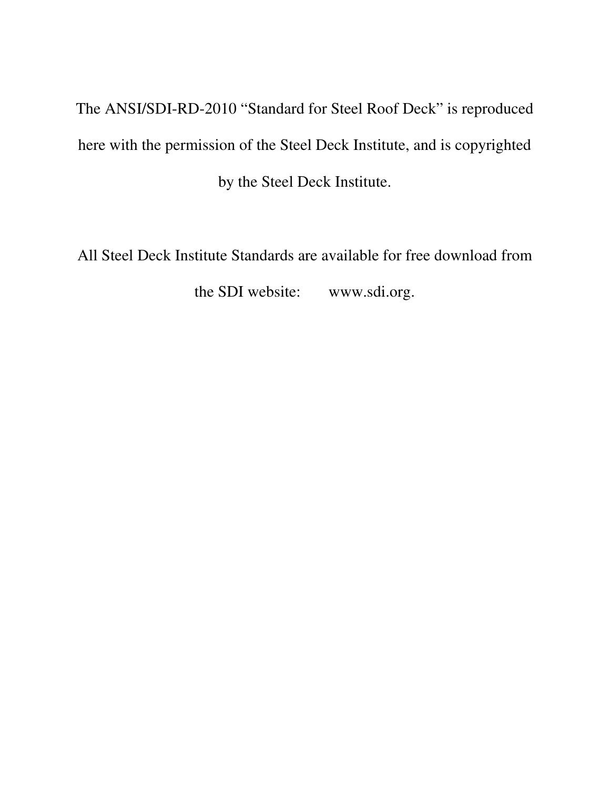The ANSI/SDI-RD-2010 "Standard for Steel Roof Deck" is reproduced here with the permission of the Steel Deck Institute, and is copyrighted by the Steel Deck Institute.

All Steel Deck Institute Standards are available for free download from the SDI website: www.sdi.org.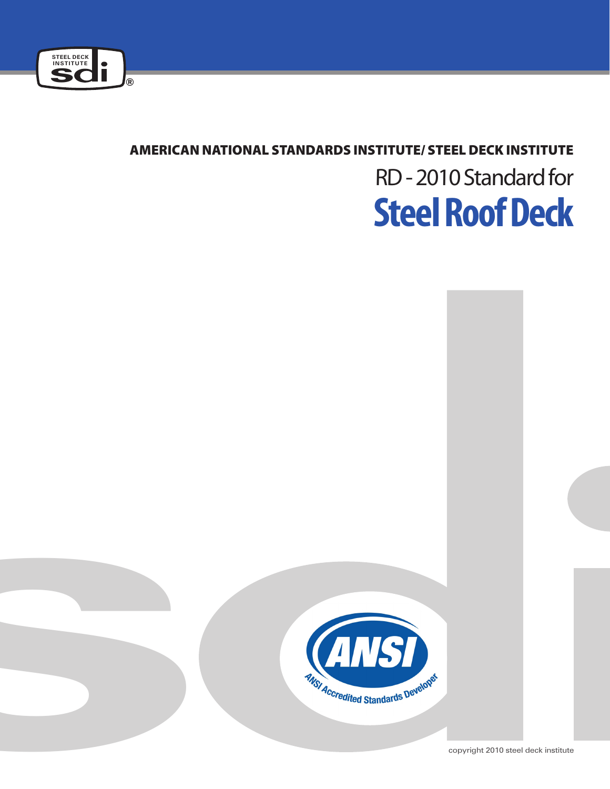

## American National standards institute/ steel deck institute

# **Steel Roof Deck**  RD - 2010 Standard for

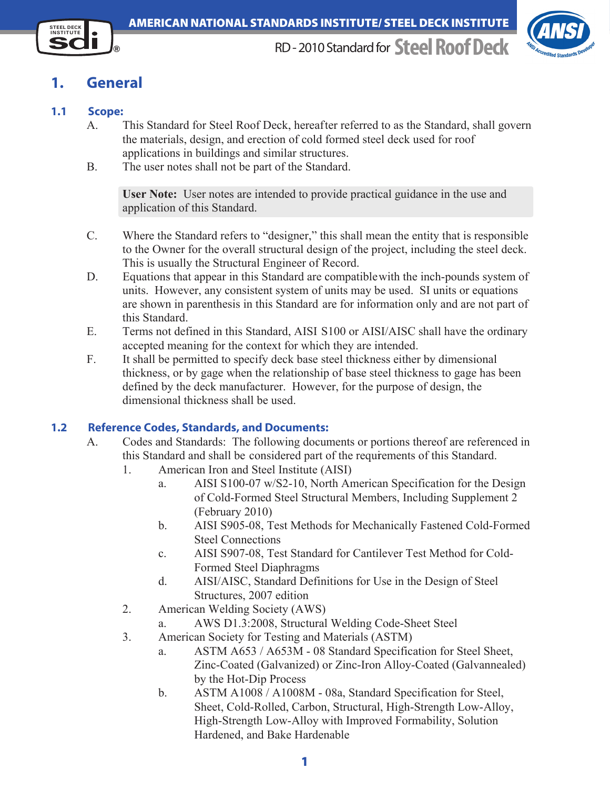



# **1. General**

#### **1.1 Scope:**

- A. This Standard for Steel Roof Deck, hereafter referred to as the Standard, shall govern the materials, design, and erection of cold formed steel deck used for roof applications in buildings and similar structures.
- B. The user notes shall not be part of the Standard.

**User Note:** User notes are intended to provide practical guidance in the use and application of this Standard.

- C. Where the Standard refers to "designer," this shall mean the entity that is responsible to the Owner for the overall structural design of the project, including the steel deck. This is usually the Structural Engineer of Record.
- D. Equations that appear in this Standard are compatiblewith the inch-pounds system of units. However, any consistent system of units may be used. SI units or equations are shown in parenthesis in this Standard are for information only and are not part of this Standard.
- E. Terms not defined in this Standard, AISI S100 or AISI/AISC shall have the ordinary accepted meaning for the context for which they are intended.
- F. It shall be permitted to specify deck base steel thickness either by dimensional thickness, or by gage when the relationship of base steel thickness to gage has been defined by the deck manufacturer. However, for the purpose of design, the dimensional thickness shall be used.

#### **1.2 Reference Codes, Standards, and Documents:**

- A. Codes and Standards: The following documents or portions thereof are referenced in this Standard and shall be considered part of the requirements of this Standard.
	- 1. American Iron and Steel Institute (AISI)
		- a. AISI S100-07 w/S2-10, North American Specification for the Design of Cold-Formed Steel Structural Members, Including Supplement 2 (February 2010)
		- b. AISI S905-08, Test Methods for Mechanically Fastened Cold-Formed Steel Connections
		- c. AISI S907-08, Test Standard for Cantilever Test Method for Cold-Formed Steel Diaphragms
		- d. AISI/AISC, Standard Definitions for Use in the Design of Steel Structures, 2007 edition
	- 2. American Welding Society (AWS)
		- a. AWS D1.3:2008, Structural Welding Code-Sheet Steel
	- 3. American Society for Testing and Materials (ASTM)
		- a. ASTM A653 / A653M 08 Standard Specification for Steel Sheet, Zinc-Coated (Galvanized) or Zinc-Iron Alloy-Coated (Galvannealed) by the Hot-Dip Process
		- b. ASTM A1008 / A1008M 08a, Standard Specification for Steel, Sheet, Cold-Rolled, Carbon, Structural, High-Strength Low-Alloy, High-Strength Low-Alloy with Improved Formability, Solution Hardened, and Bake Hardenable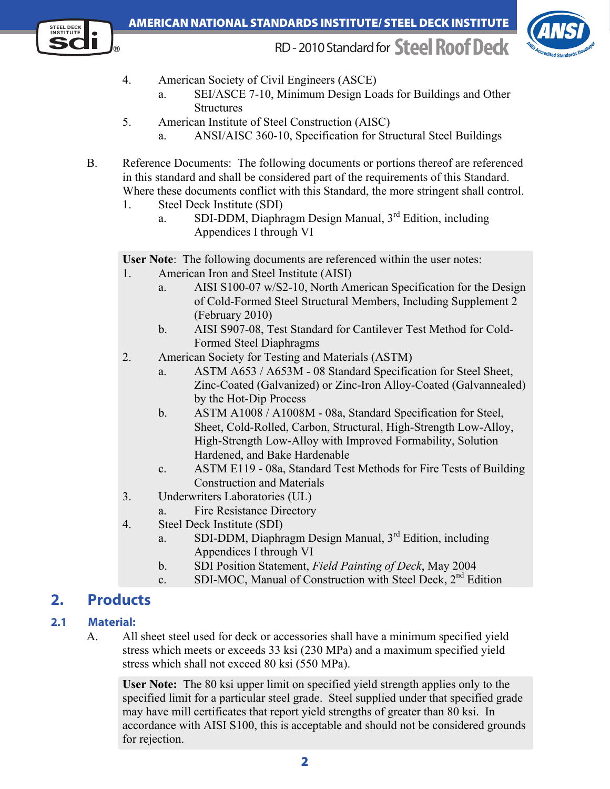#### **STEEL DECK** American National standards institute/ steel deck institute



# RD - 2010 Standard for**Steel Roof Deck**



- 4. American Society of Civil Engineers (ASCE)
	- a. SEI/ASCE 7-10, Minimum Design Loads for Buildings and Other **Structures**
- 5. American Institute of Steel Construction (AISC)
	- a. ANSI/AISC 360-10, Specification for Structural Steel Buildings
- B. Reference Documents: The following documents or portions thereof are referenced in this standard and shall be considered part of the requirements of this Standard. Where these documents conflict with this Standard, the more stringent shall control.
	- 1. Steel Deck Institute (SDI)
- a. SDI-DDM, Diaphragm Design Manual, 3<sup>rd</sup> Edition, including Appendices I through VI

**User Note**: The following documents are referenced within the user notes:

- 1. American Iron and Steel Institute (AISI)
	- a. AISI S100-07 w/S2-10, North American Specification for the Design of Cold-Formed Steel Structural Members, Including Supplement 2 (February 2010)
	- b. AISI S907-08, Test Standard for Cantilever Test Method for Cold-Formed Steel Diaphragms
- 2. American Society for Testing and Materials (ASTM)
	- a. ASTM A653 / A653M 08 Standard Specification for Steel Sheet, Zinc-Coated (Galvanized) or Zinc-Iron Alloy-Coated (Galvannealed) by the Hot-Dip Process
	- b. ASTM A1008 / A1008M 08a, Standard Specification for Steel, Sheet, Cold-Rolled, Carbon, Structural, High-Strength Low-Alloy, High-Strength Low-Alloy with Improved Formability, Solution Hardened, and Bake Hardenable
	- c. ASTM E119 08a, Standard Test Methods for Fire Tests of Building Construction and Materials
- 3. Underwriters Laboratories (UL)
	- a. Fire Resistance Directory
- 4. Steel Deck Institute (SDI)
- a. SDI-DDM, Diaphragm Design Manual, 3<sup>rd</sup> Edition, including Appendices I through VI
	- b. SDI Position Statement, *Field Painting of Deck*, May 2004
- c. SDI-MOC, Manual of Construction with Steel Deck, 2<sup>nd</sup> Edition

# **2. Products**

### **2.1 Material:**

A. All sheet steel used for deck or accessories shall have a minimum specified yield stress which meets or exceeds 33 ksi (230 MPa) and a maximum specified yield stress which shall not exceed 80 ksi (550 MPa).

**User Note:** The 80 ksi upper limit on specified yield strength applies only to the specified limit for a particular steel grade. Steel supplied under that specified grade may have mill certificates that report yield strengths of greater than 80 ksi. In accordance with AISI S100, this is acceptable and should not be considered grounds for rejection.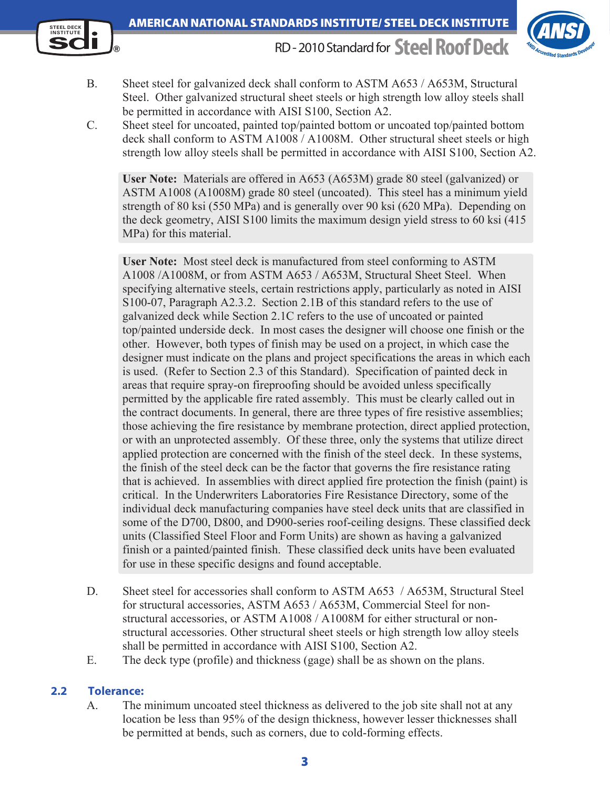



- B. Sheet steel for galvanized deck shall conform to ASTM A653 / A653M, Structural Steel. Other galvanized structural sheet steels or high strength low alloy steels shall be permitted in accordance with AISI S100, Section A2.
- C. Sheet steel for uncoated, painted top/painted bottom or uncoated top/painted bottom deck shall conform to ASTM A1008 / A1008M. Other structural sheet steels or high strength low alloy steels shall be permitted in accordance with AISI S100, Section A2.

**User Note:** Materials are offered in A653 (A653M) grade 80 steel (galvanized) or ASTM A1008 (A1008M) grade 80 steel (uncoated). This steel has a minimum yield strength of 80 ksi (550 MPa) and is generally over 90 ksi (620 MPa). Depending on the deck geometry, AISI S100 limits the maximum design yield stress to 60 ksi (415 MPa) for this material.

**User Note:** Most steel deck is manufactured from steel conforming to ASTM A1008 /A1008M, or from ASTM A653 / A653M, Structural Sheet Steel. When specifying alternative steels, certain restrictions apply, particularly as noted in AISI S100-07, Paragraph A2.3.2. Section 2.1B of this standard refers to the use of galvanized deck while Section 2.1C refers to the use of uncoated or painted top/painted underside deck. In most cases the designer will choose one finish or the other. However, both types of finish may be used on a project, in which case the designer must indicate on the plans and project specifications the areas in which each is used. (Refer to Section 2.3 of this Standard). Specification of painted deck in areas that require spray-on fireproofing should be avoided unless specifically permitted by the applicable fire rated assembly. This must be clearly called out in the contract documents. In general, there are three types of fire resistive assemblies; those achieving the fire resistance by membrane protection, direct applied protection, or with an unprotected assembly. Of these three, only the systems that utilize direct applied protection are concerned with the finish of the steel deck. In these systems, the finish of the steel deck can be the factor that governs the fire resistance rating that is achieved. In assemblies with direct applied fire protection the finish (paint) is critical. In the Underwriters Laboratories Fire Resistance Directory, some of the individual deck manufacturing companies have steel deck units that are classified in some of the D700, D800, and D900-series roof-ceiling designs. These classified deck units (Classified Steel Floor and Form Units) are shown as having a galvanized finish or a painted/painted finish. These classified deck units have been evaluated for use in these specific designs and found acceptable.

- D. Sheet steel for accessories shall conform to ASTM A653 / A653M, Structural Steel for structural accessories, ASTM A653 / A653M, Commercial Steel for nonstructural accessories, or ASTM A1008 / A1008M for either structural or nonstructural accessories. Other structural sheet steels or high strength low alloy steels shall be permitted in accordance with AISI S100, Section A2.
- E. The deck type (profile) and thickness (gage) shall be as shown on the plans.

#### **2.2 Tolerance:**

A. The minimum uncoated steel thickness as delivered to the job site shall not at any location be less than 95% of the design thickness, however lesser thicknesses shall be permitted at bends, such as corners, due to cold-forming effects.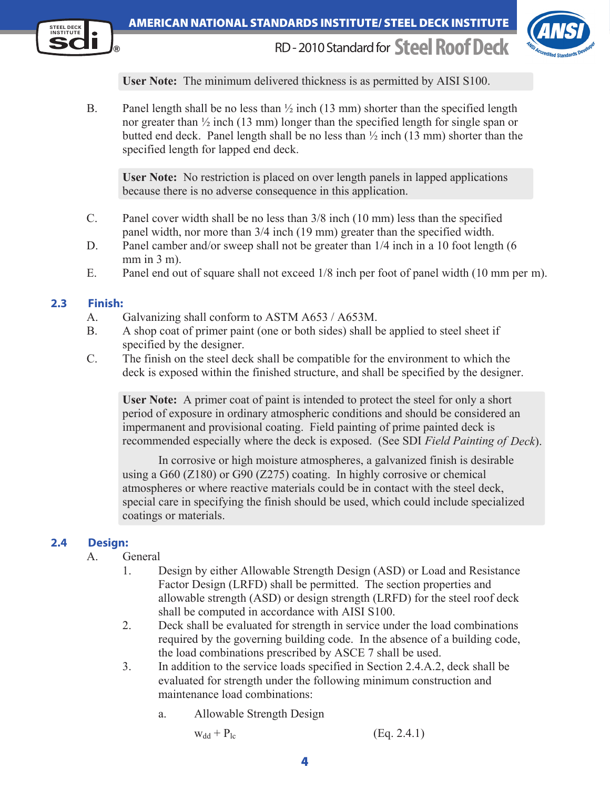#### **STEEL DECK** American National standards institute/ steel deck institute



RD - 2010 Standard for**Steel Roof Deck**



 **User Note:** The minimum delivered thickness is as permitted by AISI S100.

B. Panel length shall be no less than  $\frac{1}{2}$  inch (13 mm) shorter than the specified length nor greater than ½ inch (13 mm) longer than the specified length for single span or butted end deck. Panel length shall be no less than ½ inch (13 mm) shorter than the specified length for lapped end deck.

**User Note:** No restriction is placed on over length panels in lapped applications because there is no adverse consequence in this application.

- C. Panel cover width shall be no less than 3/8 inch (10 mm) less than the specified panel width, nor more than 3/4 inch (19 mm) greater than the specified width.
- D. Panel camber and/or sweep shall not be greater than  $1/4$  inch in a 10 foot length (6 mm in 3 m).
- E. Panel end out of square shall not exceed 1/8 inch per foot of panel width (10 mm per m).

#### **2.3 Finish:**

- A. Galvanizing shall conform to ASTM A653 / A653M.
- B. A shop coat of primer paint (one or both sides) shall be applied to steel sheet if specified by the designer.
- C. The finish on the steel deck shall be compatible for the environment to which the deck is exposed within the finished structure, and shall be specified by the designer.

**User Note:** A primer coat of paint is intended to protect the steel for only a short period of exposure in ordinary atmospheric conditions and should be considered an impermanent and provisional coating. Field painting of prime painted deck is recommended especially where the deck is exposed. (See SDI *Field Painting of Deck*).

In corrosive or high moisture atmospheres, a galvanized finish is desirable using a G60 (Z180) or G90 (Z275) coating. In highly corrosive or chemical atmospheres or where reactive materials could be in contact with the steel deck, special care in specifying the finish should be used, which could include specialized coatings or materials.

#### **2.4 Design:**

#### A. General

- 1. Design by either Allowable Strength Design (ASD) or Load and Resistance Factor Design (LRFD) shall be permitted. The section properties and allowable strength (ASD) or design strength (LRFD) for the steel roof deck shall be computed in accordance with AISI S100.
- 2. Deck shall be evaluated for strength in service under the load combinations required by the governing building code. In the absence of a building code, the load combinations prescribed by ASCE 7 shall be used.
- 3. In addition to the service loads specified in Section 2.4.A.2, deck shall be evaluated for strength under the following minimum construction and maintenance load combinations:
	- a. Allowable Strength Design

$$
w_{dd} + P_{lc} \tag{Eq. 2.4.1}
$$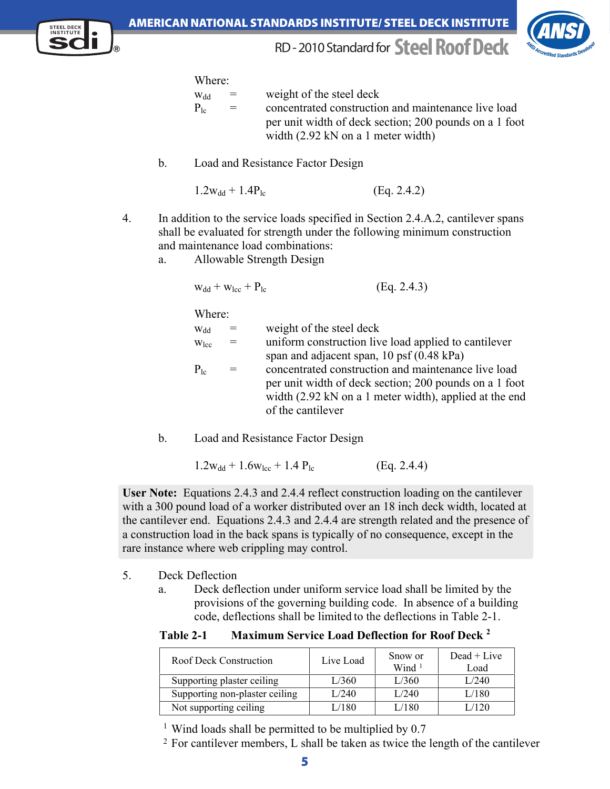



Where:

| <b>W</b> <sub>d</sub> | $=$ | weight of the steel deck                               |
|-----------------------|-----|--------------------------------------------------------|
| $P_{1\alpha}$         | $=$ | concentrated construction and maintenance live load    |
|                       |     | per unit width of deck section; 200 pounds on a 1 foot |
|                       |     | width $(2.92 \text{ kN} \text{ on a 1 meter width})$   |

b. Load and Resistance Factor Design

$$
1.2w_{dd} + 1.4P_{lc}
$$
 (Eq. 2.4.2)

- 4. In addition to the service loads specified in Section 2.4.A.2, cantilever spans shall be evaluated for strength under the following minimum construction and maintenance load combinations:
	- a. Allowable Strength Design

$$
w_{dd} + w_{lcc} + P_{lc}
$$
 (Eq. 2.4.3)

Where:

| W <sub>dd</sub> | $=$ | weight of the steel deck                               |
|-----------------|-----|--------------------------------------------------------|
| $W_{\rm lcc}$   | $=$ | uniform construction live load applied to cantilever   |
|                 |     | span and adjacent span, $10$ psf $(0.48 \text{ kPa})$  |
| $P_{1c}$        | $=$ | concentrated construction and maintenance live load    |
|                 |     | per unit width of deck section; 200 pounds on a 1 foot |
|                 |     | width (2.92 kN on a 1 meter width), applied at the end |
|                 |     | of the cantilever                                      |

b. Load and Resistance Factor Design

$$
1.2w_{dd} + 1.6w_{lcc} + 1.4 P_{lc}
$$
 (Eq. 2.4.4)

**User Note:** Equations 2.4.3 and 2.4.4 reflect construction loading on the cantilever with a 300 pound load of a worker distributed over an 18 inch deck width, located at the cantilever end. Equations 2.4.3 and 2.4.4 are strength related and the presence of a construction load in the back spans is typically of no consequence, except in the rare instance where web crippling may control.

- 5. Deck Deflection
	- a. Deck deflection under uniform service load shall be limited by the provisions of the governing building code. In absence of a building code, deflections shall be limited to the deflections in Table 2-1.

**Table 2-1 Maximum Service Load Deflection for Roof Deck <sup>2</sup>**

| Roof Deck Construction         | Live Load | Snow or<br>Wind $1$ | $Dead + Live$<br>Load |
|--------------------------------|-----------|---------------------|-----------------------|
| Supporting plaster ceiling     | L/360     | L/360               | 1/240                 |
| Supporting non-plaster ceiling | L/240     | L/240               | L/180                 |
| Not supporting ceiling         | 180       | L/180               | .120                  |

<sup>1</sup> Wind loads shall be permitted to be multiplied by 0.7

 $2$  For cantilever members, L shall be taken as twice the length of the cantilever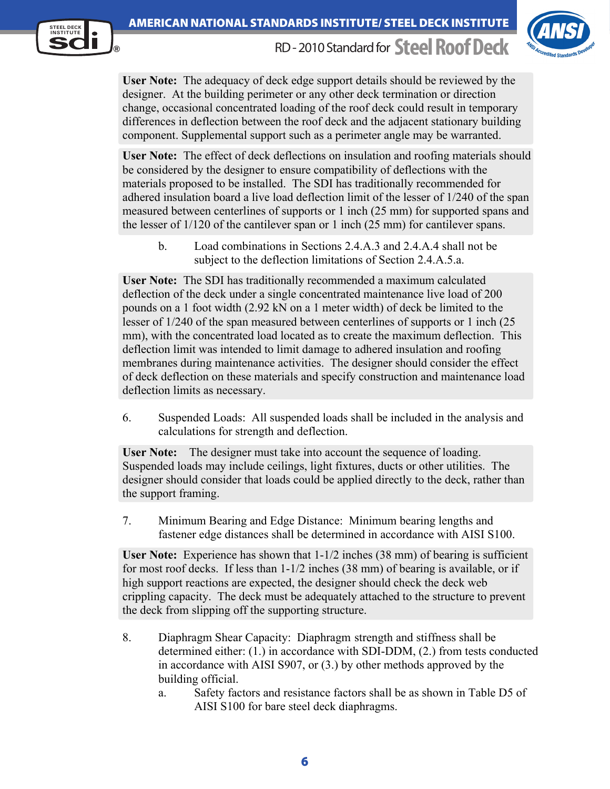



**User Note:** The adequacy of deck edge support details should be reviewed by the designer. At the building perimeter or any other deck termination or direction change, occasional concentrated loading of the roof deck could result in temporary differences in deflection between the roof deck and the adjacent stationary building component. Supplemental support such as a perimeter angle may be warranted.

**User Note:** The effect of deck deflections on insulation and roofing materials should be considered by the designer to ensure compatibility of deflections with the materials proposed to be installed. The SDI has traditionally recommended for adhered insulation board a live load deflection limit of the lesser of 1/240 of the span measured between centerlines of supports or 1 inch (25 mm) for supported spans and the lesser of 1/120 of the cantilever span or 1 inch (25 mm) for cantilever spans.

b. Load combinations in Sections 2.4.A.3 and 2.4.A.4 shall not be subject to the deflection limitations of Section 2.4.A.5.a.

**User Note:** The SDI has traditionally recommended a maximum calculated deflection of the deck under a single concentrated maintenance live load of 200 pounds on a 1 foot width (2.92 kN on a 1 meter width) of deck be limited to the lesser of 1/240 of the span measured between centerlines of supports or 1 inch (25 mm), with the concentrated load located as to create the maximum deflection. This deflection limit was intended to limit damage to adhered insulation and roofing membranes during maintenance activities. The designer should consider the effect of deck deflection on these materials and specify construction and maintenance load deflection limits as necessary.

6. Suspended Loads: All suspended loads shall be included in the analysis and calculations for strength and deflection.

**User Note:** The designer must take into account the sequence of loading. Suspended loads may include ceilings, light fixtures, ducts or other utilities. The designer should consider that loads could be applied directly to the deck, rather than the support framing.

 7. Minimum Bearing and Edge Distance: Minimum bearing lengths and fastener edge distances shall be determined in accordance with AISI S100.

**User Note:** Experience has shown that 1-1/2 inches (38 mm) of bearing is sufficient for most roof decks. If less than 1-1/2 inches (38 mm) of bearing is available, or if high support reactions are expected, the designer should check the deck web crippling capacity. The deck must be adequately attached to the structure to prevent the deck from slipping off the supporting structure.

- 8. Diaphragm Shear Capacity: Diaphragm strength and stiffness shall be determined either: (1.) in accordance with SDI-DDM, (2.) from tests conducted in accordance with AISI S907, or (3.) by other methods approved by the building official.
	- a. Safety factors and resistance factors shall be as shown in Table D5 of AISI S100 for bare steel deck diaphragms.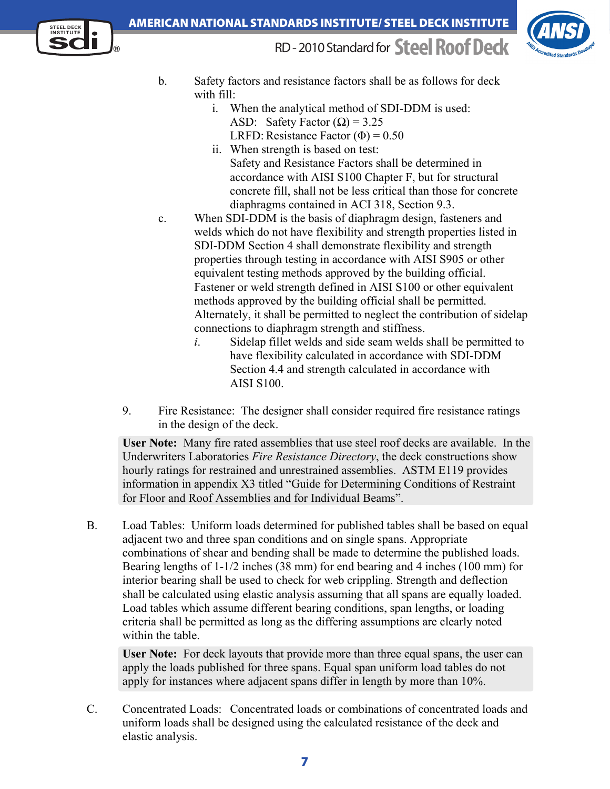



- b. Safety factors and resistance factors shall be as follows for deck with fill:
	- i. When the analytical method of SDI-DDM is used: ASD: Safety Factor  $(\Omega) = 3.25$ LRFD: Resistance Factor  $(\Phi) = 0.50$
	- ii. When strength is based on test: Safety and Resistance Factors shall be determined in accordance with AISI S100 Chapter F, but for structural concrete fill, shall not be less critical than those for concrete diaphragms contained in ACI 318, Section 9.3.
- c. When SDI-DDM is the basis of diaphragm design, fasteners and welds which do not have flexibility and strength properties listed in SDI-DDM Section 4 shall demonstrate flexibility and strength properties through testing in accordance with AISI S905 or other equivalent testing methods approved by the building official. Fastener or weld strength defined in AISI S100 or other equivalent methods approved by the building official shall be permitted. Alternately, it shall be permitted to neglect the contribution of sidelap connections to diaphragm strength and stiffness.
	- *i*. Sidelap fillet welds and side seam welds shall be permitted to have flexibility calculated in accordance with SDI-DDM Section 4.4 and strength calculated in accordance with AISI S100.
- 9. Fire Resistance: The designer shall consider required fire resistance ratings in the design of the deck.

**User Note:** Many fire rated assemblies that use steel roof decks are available. In the Underwriters Laboratories *Fire Resistance Directory*, the deck constructions show hourly ratings for restrained and unrestrained assemblies. ASTM E119 provides information in appendix X3 titled "Guide for Determining Conditions of Restraint for Floor and Roof Assemblies and for Individual Beams".

B. Load Tables: Uniform loads determined for published tables shall be based on equal adjacent two and three span conditions and on single spans. Appropriate combinations of shear and bending shall be made to determine the published loads. Bearing lengths of 1-1/2 inches (38 mm) for end bearing and 4 inches (100 mm) for interior bearing shall be used to check for web crippling. Strength and deflection shall be calculated using elastic analysis assuming that all spans are equally loaded. Load tables which assume different bearing conditions, span lengths, or loading criteria shall be permitted as long as the differing assumptions are clearly noted within the table.

**User Note:** For deck layouts that provide more than three equal spans, the user can apply the loads published for three spans. Equal span uniform load tables do not apply for instances where adjacent spans differ in length by more than 10%.

C. Concentrated Loads: Concentrated loads or combinations of concentrated loads and uniform loads shall be designed using the calculated resistance of the deck and elastic analysis.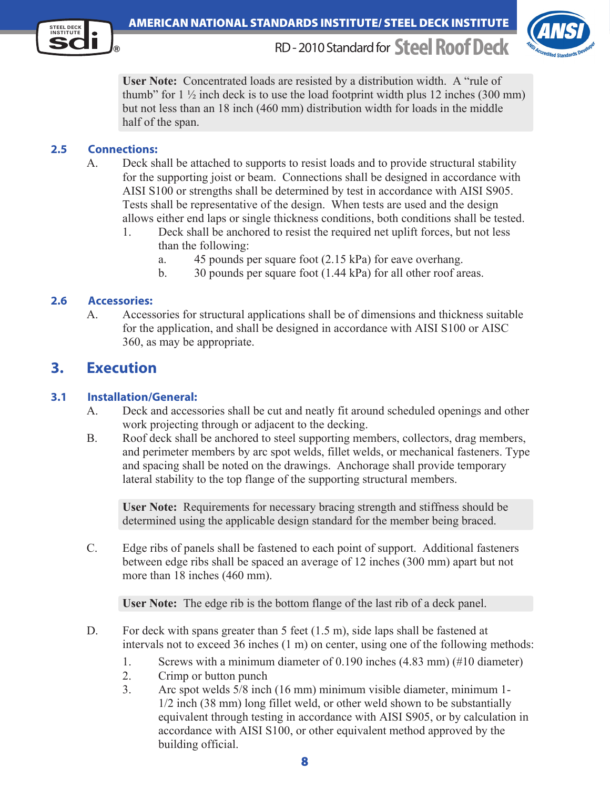



**User Note:** Concentrated loads are resisted by a distribution width. A "rule of thumb" for  $1\frac{1}{2}$  inch deck is to use the load footprint width plus 12 inches (300 mm) but not less than an 18 inch (460 mm) distribution width for loads in the middle half of the span.

#### **2.5 Connections:**

- A. Deck shall be attached to supports to resist loads and to provide structural stability for the supporting joist or beam. Connections shall be designed in accordance with AISI S100 or strengths shall be determined by test in accordance with AISI S905. Tests shall be representative of the design. When tests are used and the design allows either end laps or single thickness conditions, both conditions shall be tested.
	- 1. Deck shall be anchored to resist the required net uplift forces, but not less than the following:
		- a. 45 pounds per square foot (2.15 kPa) for eave overhang.
		- b. 30 pounds per square foot (1.44 kPa) for all other roof areas.

#### **2.6 Accessories:**

A. Accessories for structural applications shall be of dimensions and thickness suitable for the application, and shall be designed in accordance with AISI S100 or AISC 360, as may be appropriate.

## **3. Execution**

#### **3.1 Installation/General:**

- A. Deck and accessories shall be cut and neatly fit around scheduled openings and other work projecting through or adjacent to the decking.
- B. Roof deck shall be anchored to steel supporting members, collectors, drag members, and perimeter members by arc spot welds, fillet welds, or mechanical fasteners. Type and spacing shall be noted on the drawings. Anchorage shall provide temporary lateral stability to the top flange of the supporting structural members.

**User Note:** Requirements for necessary bracing strength and stiffness should be determined using the applicable design standard for the member being braced.

C. Edge ribs of panels shall be fastened to each point of support. Additional fasteners between edge ribs shall be spaced an average of 12 inches (300 mm) apart but not more than 18 inches (460 mm).

**User Note:** The edge rib is the bottom flange of the last rib of a deck panel.

- D. For deck with spans greater than 5 feet (1.5 m), side laps shall be fastened at intervals not to exceed 36 inches (1 m) on center, using one of the following methods:
	- 1. Screws with a minimum diameter of 0.190 inches (4.83 mm) (#10 diameter)
	- 2. Crimp or button punch
	- 3. Arc spot welds 5/8 inch (16 mm) minimum visible diameter, minimum 1- 1/2 inch (38 mm) long fillet weld, or other weld shown to be substantially equivalent through testing in accordance with AISI S905, or by calculation in accordance with AISI S100, or other equivalent method approved by the building official.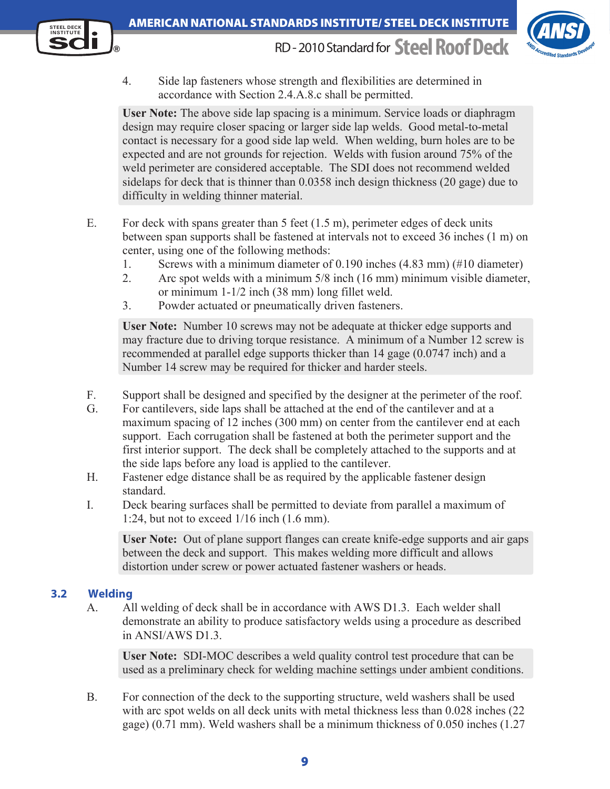



 4. Side lap fasteners whose strength and flexibilities are determined in accordance with Section 2.4.A.8.c shall be permitted.

**User Note:** The above side lap spacing is a minimum. Service loads or diaphragm design may require closer spacing or larger side lap welds. Good metal-to-metal contact is necessary for a good side lap weld. When welding, burn holes are to be expected and are not grounds for rejection. Welds with fusion around 75% of the weld perimeter are considered acceptable. The SDI does not recommend welded sidelaps for deck that is thinner than 0.0358 inch design thickness (20 gage) due to difficulty in welding thinner material.

- E. For deck with spans greater than 5 feet (1.5 m), perimeter edges of deck units between span supports shall be fastened at intervals not to exceed 36 inches (1 m) on center, using one of the following methods:
	- 1. Screws with a minimum diameter of 0.190 inches (4.83 mm) (#10 diameter)
	- 2. Arc spot welds with a minimum 5/8 inch (16 mm) minimum visible diameter, or minimum 1-1/2 inch (38 mm) long fillet weld.
	- 3. Powder actuated or pneumatically driven fasteners.

**User Note:** Number 10 screws may not be adequate at thicker edge supports and may fracture due to driving torque resistance. A minimum of a Number 12 screw is recommended at parallel edge supports thicker than 14 gage (0.0747 inch) and a Number 14 screw may be required for thicker and harder steels.

- F. Support shall be designed and specified by the designer at the perimeter of the roof.
- G. For cantilevers, side laps shall be attached at the end of the cantilever and at a maximum spacing of 12 inches (300 mm) on center from the cantilever end at each support. Each corrugation shall be fastened at both the perimeter support and the first interior support. The deck shall be completely attached to the supports and at the side laps before any load is applied to the cantilever.
- H. Fastener edge distance shall be as required by the applicable fastener design standard.
- I. Deck bearing surfaces shall be permitted to deviate from parallel a maximum of 1:24, but not to exceed 1/16 inch (1.6 mm).

 **User Note:** Out of plane support flanges can create knife-edge supports and air gaps between the deck and support. This makes welding more difficult and allows distortion under screw or power actuated fastener washers or heads.

#### **3.2 Welding**

A. All welding of deck shall be in accordance with AWS D1.3. Each welder shall demonstrate an ability to produce satisfactory welds using a procedure as described in ANSI/AWS D1.3.

**User Note:** SDI-MOC describes a weld quality control test procedure that can be used as a preliminary check for welding machine settings under ambient conditions.

B. For connection of the deck to the supporting structure, weld washers shall be used with arc spot welds on all deck units with metal thickness less than 0.028 inches (22) gage) (0.71 mm). Weld washers shall be a minimum thickness of 0.050 inches (1.27